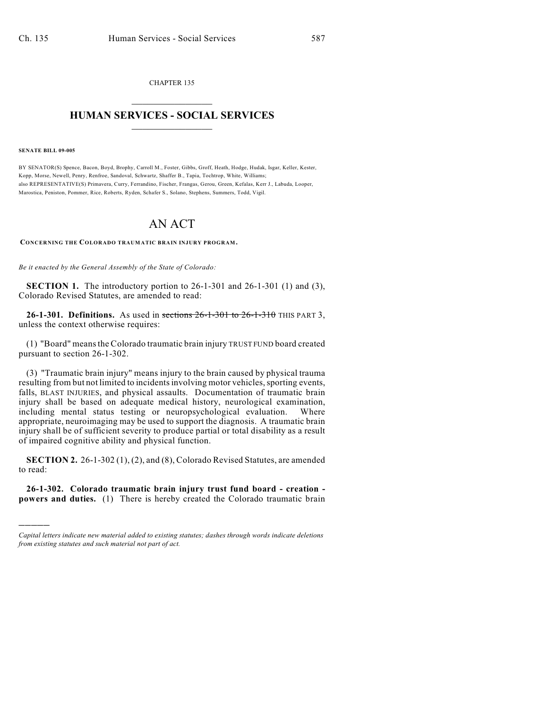CHAPTER 135  $\mathcal{L}_\text{max}$  . The set of the set of the set of the set of the set of the set of the set of the set of the set of the set of the set of the set of the set of the set of the set of the set of the set of the set of the set

## **HUMAN SERVICES - SOCIAL SERVICES**  $\frac{1}{2}$  ,  $\frac{1}{2}$  ,  $\frac{1}{2}$  ,  $\frac{1}{2}$  ,  $\frac{1}{2}$  ,  $\frac{1}{2}$  ,  $\frac{1}{2}$

**SENATE BILL 09-005**

)))))

BY SENATOR(S) Spence, Bacon, Boyd, Brophy, Carroll M., Foster, Gibbs, Groff, Heath, Hodge, Hudak, Isgar, Keller, Kester, Kopp, Morse, Newell, Penry, Renfroe, Sandoval, Schwartz, Shaffer B., Tapia, Tochtrop, White, Williams; also REPRESENTATIVE(S) Primavera, Curry, Ferrandino, Fischer, Frangas, Gerou, Green, Kefalas, Kerr J., Labuda, Looper, Marostica, Peniston, Pommer, Rice, Roberts, Ryden, Schafer S., Solano, Stephens, Summers, Todd, Vigil.

## AN ACT

**CONCERNING THE COLORADO TRAUMATIC BRAIN INJURY PROGRAM.**

*Be it enacted by the General Assembly of the State of Colorado:*

**SECTION 1.** The introductory portion to 26-1-301 and 26-1-301 (1) and (3), Colorado Revised Statutes, are amended to read:

**26-1-301. Definitions.** As used in sections 26-1-301 to 26-1-310 THIS PART 3, unless the context otherwise requires:

(1) "Board" means the Colorado traumatic brain injury TRUST FUND board created pursuant to section 26-1-302.

(3) "Traumatic brain injury" means injury to the brain caused by physical trauma resulting from but not limited to incidents involving motor vehicles, sporting events, falls, BLAST INJURIES, and physical assaults. Documentation of traumatic brain injury shall be based on adequate medical history, neurological examination, including mental status testing or neuropsychological evaluation. Where appropriate, neuroimaging may be used to support the diagnosis. A traumatic brain injury shall be of sufficient severity to produce partial or total disability as a result of impaired cognitive ability and physical function.

**SECTION 2.** 26-1-302 (1), (2), and (8), Colorado Revised Statutes, are amended to read:

**26-1-302. Colorado traumatic brain injury trust fund board - creation powers and duties.** (1) There is hereby created the Colorado traumatic brain

*Capital letters indicate new material added to existing statutes; dashes through words indicate deletions from existing statutes and such material not part of act.*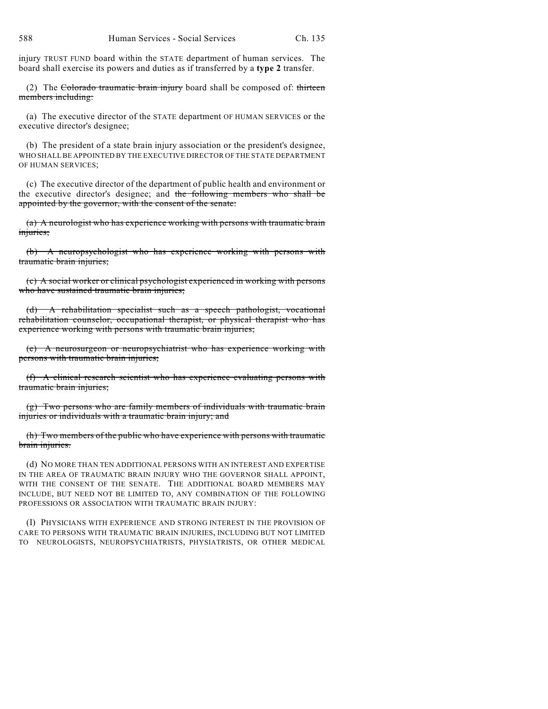injury TRUST FUND board within the STATE department of human services. The board shall exercise its powers and duties as if transferred by a **type 2** transfer.

(2) The Colorado traumatic brain injury board shall be composed of: thirteen members including:

(a) The executive director of the STATE department OF HUMAN SERVICES or the executive director's designee;

(b) The president of a state brain injury association or the president's designee, WHO SHALL BE APPOINTED BY THE EXECUTIVE DIRECTOR OF THE STATE DEPARTMENT OF HUMAN SERVICES;

(c) The executive director of the department of public health and environment or the executive director's designee; and the following members who shall be appointed by the governor, with the consent of the senate:

(a) A neurologist who has experience working with persons with traumatic brain injuries;

(b) A neuropsychologist who has experience working with persons with traumatic brain injuries;

(c) A social worker or clinical psychologist experienced in working with persons who have sustained traumatic brain injuries;

(d) A rehabilitation specialist such as a speech pathologist, vocational rehabilitation counselor, occupational therapist, or physical therapist who has experience working with persons with traumatic brain injuries;

(e) A neurosurgeon or neuropsychiatrist who has experience working with persons with traumatic brain injuries;

(f) A clinical research scientist who has experience evaluating persons with traumatic brain injuries;

(g) Two persons who are family members of individuals with traumatic brain injuries or individuals with a traumatic brain injury; and

(h) Two members of the public who have experience with persons with traumatic brain injuries.

(d) NO MORE THAN TEN ADDITIONAL PERSONS WITH AN INTEREST AND EXPERTISE IN THE AREA OF TRAUMATIC BRAIN INJURY WHO THE GOVERNOR SHALL APPOINT, WITH THE CONSENT OF THE SENATE. THE ADDITIONAL BOARD MEMBERS MAY INCLUDE, BUT NEED NOT BE LIMITED TO, ANY COMBINATION OF THE FOLLOWING PROFESSIONS OR ASSOCIATION WITH TRAUMATIC BRAIN INJURY:

(I) PHYSICIANS WITH EXPERIENCE AND STRONG INTEREST IN THE PROVISION OF CARE TO PERSONS WITH TRAUMATIC BRAIN INJURIES, INCLUDING BUT NOT LIMITED TO NEUROLOGISTS, NEUROPSYCHIATRISTS, PHYSIATRISTS, OR OTHER MEDICAL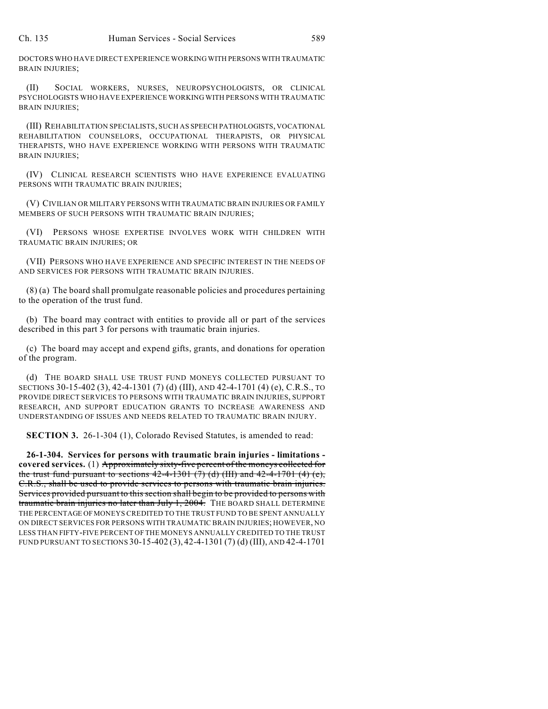DOCTORS WHO HAVE DIRECT EXPERIENCE WORKING WITH PERSONS WITH TRAUMATIC BRAIN INJURIES;

(II) SOCIAL WORKERS, NURSES, NEUROPSYCHOLOGISTS, OR CLINICAL PSYCHOLOGISTS WHO HAVE EXPERIENCE WORKING WITH PERSONS WITH TRAUMATIC BRAIN INJURIES;

(III) REHABILITATION SPECIALISTS, SUCH AS SPEECH PATHOLOGISTS, VOCATIONAL REHABILITATION COUNSELORS, OCCUPATIONAL THERAPISTS, OR PHYSICAL THERAPISTS, WHO HAVE EXPERIENCE WORKING WITH PERSONS WITH TRAUMATIC BRAIN INJURIES;

(IV) CLINICAL RESEARCH SCIENTISTS WHO HAVE EXPERIENCE EVALUATING PERSONS WITH TRAUMATIC BRAIN INJURIES;

(V) CIVILIAN OR MILITARY PERSONS WITH TRAUMATIC BRAIN INJURIES OR FAMILY MEMBERS OF SUCH PERSONS WITH TRAUMATIC BRAIN INJURIES;

(VI) PERSONS WHOSE EXPERTISE INVOLVES WORK WITH CHILDREN WITH TRAUMATIC BRAIN INJURIES; OR

(VII) PERSONS WHO HAVE EXPERIENCE AND SPECIFIC INTEREST IN THE NEEDS OF AND SERVICES FOR PERSONS WITH TRAUMATIC BRAIN INJURIES.

(8) (a) The board shall promulgate reasonable policies and procedures pertaining to the operation of the trust fund.

(b) The board may contract with entities to provide all or part of the services described in this part 3 for persons with traumatic brain injuries.

(c) The board may accept and expend gifts, grants, and donations for operation of the program.

(d) THE BOARD SHALL USE TRUST FUND MONEYS COLLECTED PURSUANT TO SECTIONS 30-15-402 (3), 42-4-1301 (7) (d) (III), AND 42-4-1701 (4) (e), C.R.S., TO PROVIDE DIRECT SERVICES TO PERSONS WITH TRAUMATIC BRAIN INJURIES, SUPPORT RESEARCH, AND SUPPORT EDUCATION GRANTS TO INCREASE AWARENESS AND UNDERSTANDING OF ISSUES AND NEEDS RELATED TO TRAUMATIC BRAIN INJURY.

**SECTION 3.** 26-1-304 (1), Colorado Revised Statutes, is amended to read:

**26-1-304. Services for persons with traumatic brain injuries - limitations covered services.** (1) Approximately sixty-five percent of the moneys collected for the trust fund pursuant to sections  $42-4-1301$  (7) (d) (III) and  $42-4-1701$  (4) (e), C.R.S., shall be used to provide services to persons with traumatic brain injuries. Services provided pursuant to this section shall begin to be provided to persons with traumatic brain injuries no later than July 1, 2004. The BOARD SHALL DETERMINE THE PERCENTAGE OF MONEYS CREDITED TO THE TRUST FUND TO BE SPENT ANNUALLY ON DIRECT SERVICES FOR PERSONS WITH TRAUMATIC BRAIN INJURIES; HOWEVER, NO LESS THAN FIFTY-FIVE PERCENT OF THE MONEYS ANNUALLY CREDITED TO THE TRUST FUND PURSUANT TO SECTIONS 30-15-402 (3), 42-4-1301 (7) (d) (III), AND 42-4-1701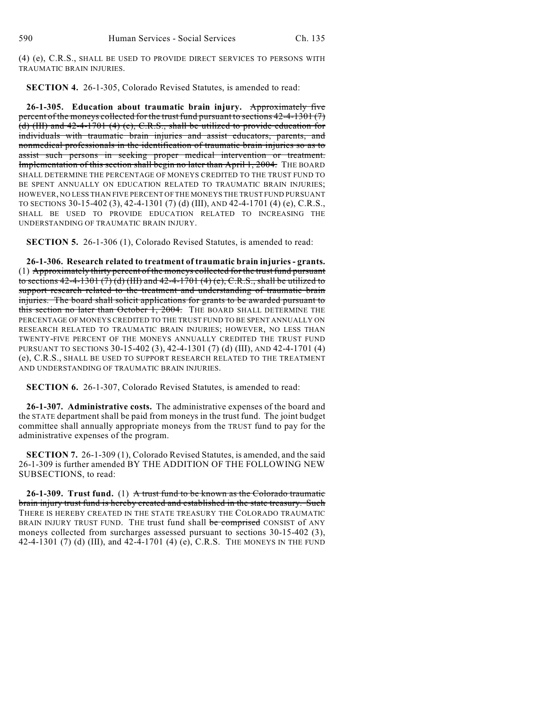(4) (e), C.R.S., SHALL BE USED TO PROVIDE DIRECT SERVICES TO PERSONS WITH TRAUMATIC BRAIN INJURIES.

**SECTION 4.** 26-1-305, Colorado Revised Statutes, is amended to read:

**26-1-305. Education about traumatic brain injury.** Approximately five percent of the moneys collected for the trust fund pursuant to sections 42-4-1301 (7) (d) (III) and 42-4-1701 (4) (e), C.R.S., shall be utilized to provide education for individuals with traumatic brain injuries and assist educators, parents, and nonmedical professionals in the identification of traumatic brain injuries so as to assist such persons in seeking proper medical intervention or treatment. Implementation of this section shall begin no later than April 1, 2004. THE BOARD SHALL DETERMINE THE PERCENTAGE OF MONEYS CREDITED TO THE TRUST FUND TO BE SPENT ANNUALLY ON EDUCATION RELATED TO TRAUMATIC BRAIN INJURIES; HOWEVER, NO LESS THAN FIVE PERCENT OF THE MONEYS THE TRUST FUND PURSUANT TO SECTIONS 30-15-402 (3), 42-4-1301 (7) (d) (III), AND 42-4-1701 (4) (e), C.R.S., SHALL BE USED TO PROVIDE EDUCATION RELATED TO INCREASING THE UNDERSTANDING OF TRAUMATIC BRAIN INJURY.

**SECTION 5.** 26-1-306 (1), Colorado Revised Statutes, is amended to read:

**26-1-306. Research related to treatment of traumatic brain injuries - grants.** (1) Approximately thirty percent of the moneys collected for the trust fund pursuant to sections  $42-4-1301(7)(d)(III)$  and  $42-4-1701(4)(e), C.R.S.,$  shall be utilized to support research related to the treatment and understanding of traumatic brain injuries. The board shall solicit applications for grants to be awarded pursuant to this section no later than October 1, 2004. THE BOARD SHALL DETERMINE THE PERCENTAGE OF MONEYS CREDITED TO THE TRUST FUND TO BE SPENT ANNUALLY ON RESEARCH RELATED TO TRAUMATIC BRAIN INJURIES; HOWEVER, NO LESS THAN TWENTY-FIVE PERCENT OF THE MONEYS ANNUALLY CREDITED THE TRUST FUND PURSUANT TO SECTIONS 30-15-402 (3), 42-4-1301 (7) (d) (III), AND 42-4-1701 (4) (e), C.R.S., SHALL BE USED TO SUPPORT RESEARCH RELATED TO THE TREATMENT AND UNDERSTANDING OF TRAUMATIC BRAIN INJURIES.

**SECTION 6.** 26-1-307, Colorado Revised Statutes, is amended to read:

**26-1-307. Administrative costs.** The administrative expenses of the board and the STATE department shall be paid from moneys in the trust fund. The joint budget committee shall annually appropriate moneys from the TRUST fund to pay for the administrative expenses of the program.

**SECTION 7.** 26-1-309 (1), Colorado Revised Statutes, is amended, and the said 26-1-309 is further amended BY THE ADDITION OF THE FOLLOWING NEW SUBSECTIONS, to read:

**26-1-309. Trust fund.** (1) A trust fund to be known as the Colorado traumatic brain injury trust fund is hereby created and established in the state treasury. Such THERE IS HEREBY CREATED IN THE STATE TREASURY THE COLORADO TRAUMATIC BRAIN INJURY TRUST FUND. THE trust fund shall be comprised CONSIST of ANY moneys collected from surcharges assessed pursuant to sections 30-15-402 (3), 42-4-1301 (7) (d) (III), and 42-4-1701 (4) (e), C.R.S. THE MONEYS IN THE FUND